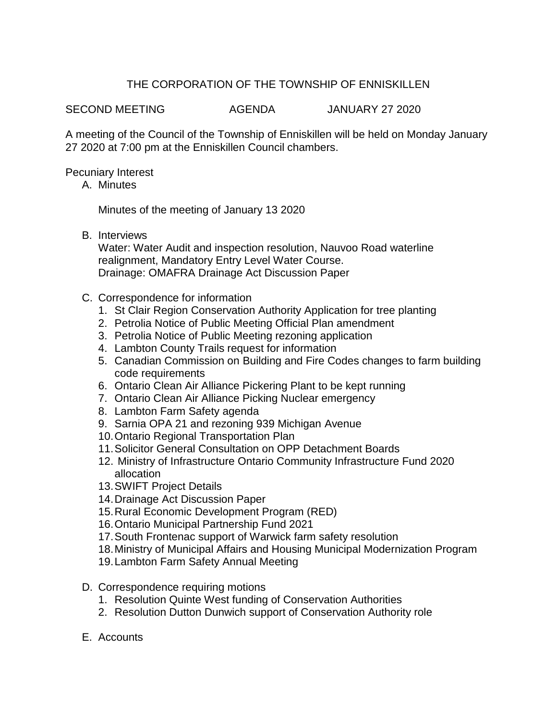## THE CORPORATION OF THE TOWNSHIP OF ENNISKILLEN

SECOND MEETING AGENDA JANUARY 27 2020

A meeting of the Council of the Township of Enniskillen will be held on Monday January 27 2020 at 7:00 pm at the Enniskillen Council chambers.

Pecuniary Interest

A. Minutes

Minutes of the meeting of January 13 2020

B. Interviews

Water: Water Audit and inspection resolution, Nauvoo Road waterline realignment, Mandatory Entry Level Water Course. Drainage: OMAFRA Drainage Act Discussion Paper

- C. Correspondence for information
	- 1. St Clair Region Conservation Authority Application for tree planting
	- 2. Petrolia Notice of Public Meeting Official Plan amendment
	- 3. Petrolia Notice of Public Meeting rezoning application
	- 4. Lambton County Trails request for information
	- 5. Canadian Commission on Building and Fire Codes changes to farm building code requirements
	- 6. Ontario Clean Air Alliance Pickering Plant to be kept running
	- 7. Ontario Clean Air Alliance Picking Nuclear emergency
	- 8. Lambton Farm Safety agenda
	- 9. Sarnia OPA 21 and rezoning 939 Michigan Avenue
	- 10.Ontario Regional Transportation Plan
	- 11.Solicitor General Consultation on OPP Detachment Boards
	- 12. Ministry of Infrastructure Ontario Community Infrastructure Fund 2020 allocation
	- 13.SWIFT Project Details
	- 14.Drainage Act Discussion Paper
	- 15.Rural Economic Development Program (RED)
	- 16.Ontario Municipal Partnership Fund 2021
	- 17.South Frontenac support of Warwick farm safety resolution
	- 18.Ministry of Municipal Affairs and Housing Municipal Modernization Program
	- 19.Lambton Farm Safety Annual Meeting
- D. Correspondence requiring motions
	- 1. Resolution Quinte West funding of Conservation Authorities
	- 2. Resolution Dutton Dunwich support of Conservation Authority role
- E. Accounts